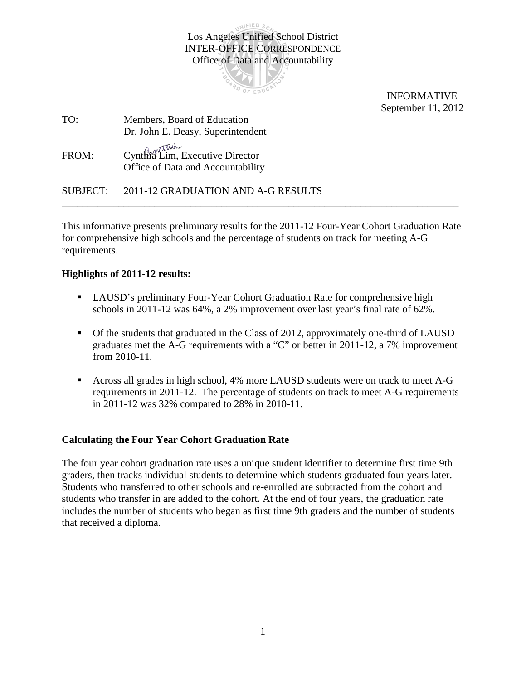

 INFORMATIVE September 11, 2012

| TO:      | Members, Board of Education                                          |
|----------|----------------------------------------------------------------------|
|          | Dr. John E. Deasy, Superintendent                                    |
| FROM:    | Cynthia Lim, Executive Director<br>Office of Data and Accountability |
| SUBJECT: | 2011-12 GRADUATION AND A-G RESULTS                                   |

This informative presents preliminary results for the 2011-12 Four-Year Cohort Graduation Rate for comprehensive high schools and the percentage of students on track for meeting A-G requirements.

\_\_\_\_\_\_\_\_\_\_\_\_\_\_\_\_\_\_\_\_\_\_\_\_\_\_\_\_\_\_\_\_\_\_\_\_\_\_\_\_\_\_\_\_\_\_\_\_\_\_\_\_\_\_\_\_\_\_\_\_\_\_\_\_\_\_\_\_\_\_\_\_\_\_\_\_\_

### **Highlights of 2011-12 results:**

- **LAUSD's preliminary Four-Year Cohort Graduation Rate for comprehensive high** schools in 2011-12 was 64%, a 2% improvement over last year's final rate of 62%.
- Of the students that graduated in the Class of 2012, approximately one-third of LAUSD graduates met the A-G requirements with a "C" or better in 2011-12, a 7% improvement from 2010-11.
- Across all grades in high school, 4% more LAUSD students were on track to meet A-G requirements in 2011-12. The percentage of students on track to meet A-G requirements in 2011-12 was 32% compared to 28% in 2010-11.

### **Calculating the Four Year Cohort Graduation Rate**

The four year cohort graduation rate uses a unique student identifier to determine first time 9th graders, then tracks individual students to determine which students graduated four years later. Students who transferred to other schools and re-enrolled are subtracted from the cohort and students who transfer in are added to the cohort. At the end of four years, the graduation rate includes the number of students who began as first time 9th graders and the number of students that received a diploma.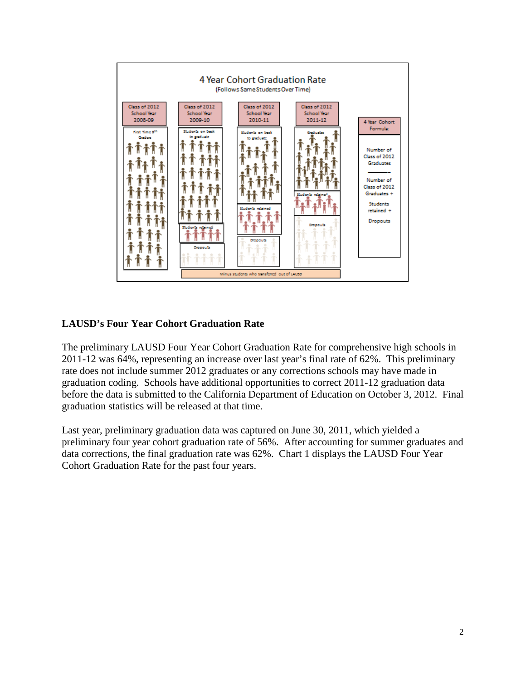

# **LAUSD's Four Year Cohort Graduation Rate**

The preliminary LAUSD Four Year Cohort Graduation Rate for comprehensive high schools in 2011-12 was 64%, representing an increase over last year's final rate of 62%. This preliminary rate does not include summer 2012 graduates or any corrections schools may have made in graduation coding. Schools have additional opportunities to correct 2011-12 graduation data before the data is submitted to the California Department of Education on October 3, 2012. Final graduation statistics will be released at that time.

Last year, preliminary graduation data was captured on June 30, 2011, which yielded a preliminary four year cohort graduation rate of 56%. After accounting for summer graduates and data corrections, the final graduation rate was 62%. Chart 1 displays the LAUSD Four Year Cohort Graduation Rate for the past four years.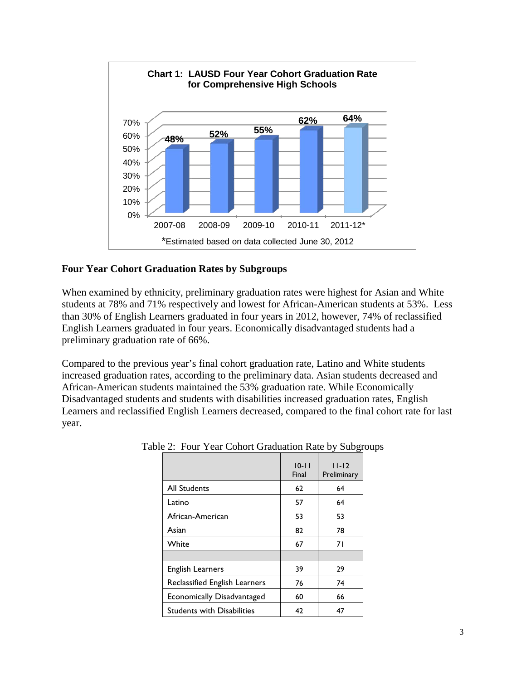

### **Four Year Cohort Graduation Rates by Subgroups**

When examined by ethnicity, preliminary graduation rates were highest for Asian and White students at 78% and 71% respectively and lowest for African-American students at 53%. Less than 30% of English Learners graduated in four years in 2012, however, 74% of reclassified English Learners graduated in four years. Economically disadvantaged students had a preliminary graduation rate of 66%.

Compared to the previous year's final cohort graduation rate, Latino and White students increased graduation rates, according to the preliminary data. Asian students decreased and African-American students maintained the 53% graduation rate. While Economically Disadvantaged students and students with disabilities increased graduation rates, English Learners and reclassified English Learners decreased, compared to the final cohort rate for last year.

|                                   |                    | ັ                        |
|-----------------------------------|--------------------|--------------------------|
|                                   | $10 - 11$<br>Final | $11 - 12$<br>Preliminary |
| <b>All Students</b>               | 62                 | 64                       |
| Latino                            | 57                 | 64                       |
| African-American                  | 53                 | 53                       |
| Asian                             | 82                 | 78                       |
| White                             | 67                 | 71                       |
|                                   |                    |                          |
| English Learners                  | 39                 | 29                       |
| Reclassified English Learners     | 76                 | 74                       |
| <b>Economically Disadvantaged</b> | 60                 | 66                       |
| <b>Students with Disabilities</b> | 42                 | 47                       |

Table 2: Four Year Cohort Graduation Rate by Subgroups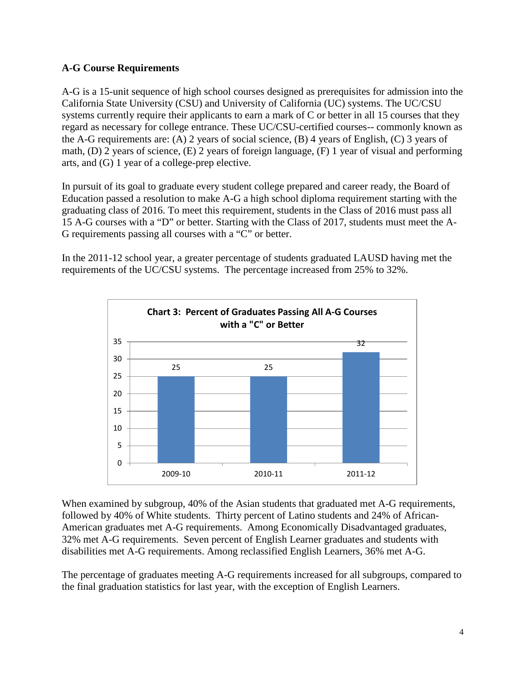## **A-G Course Requirements**

A-G is a 15-unit sequence of high school courses designed as prerequisites for admission into the California State University (CSU) and University of California (UC) systems. The UC/CSU systems currently require their applicants to earn a mark of C or better in all 15 courses that they regard as necessary for college entrance. These UC/CSU-certified courses-- commonly known as the A-G requirements are: (A) 2 years of social science, (B) 4 years of English, (C) 3 years of math, (D) 2 years of science, (E) 2 years of foreign language, (F) 1 year of visual and performing arts, and (G) 1 year of a college-prep elective.

In pursuit of its goal to graduate every student college prepared and career ready, the Board of Education passed a resolution to make A-G a high school diploma requirement starting with the graduating class of 2016. To meet this requirement, students in the Class of 2016 must pass all 15 A-G courses with a "D" or better. Starting with the Class of 2017, students must meet the A-G requirements passing all courses with a "C" or better.

In the 2011-12 school year, a greater percentage of students graduated LAUSD having met the requirements of the UC/CSU systems. The percentage increased from 25% to 32%.



When examined by subgroup, 40% of the Asian students that graduated met A-G requirements, followed by 40% of White students. Thirty percent of Latino students and 24% of African-American graduates met A-G requirements. Among Economically Disadvantaged graduates, 32% met A-G requirements. Seven percent of English Learner graduates and students with disabilities met A-G requirements. Among reclassified English Learners, 36% met A-G.

The percentage of graduates meeting A-G requirements increased for all subgroups, compared to the final graduation statistics for last year, with the exception of English Learners.